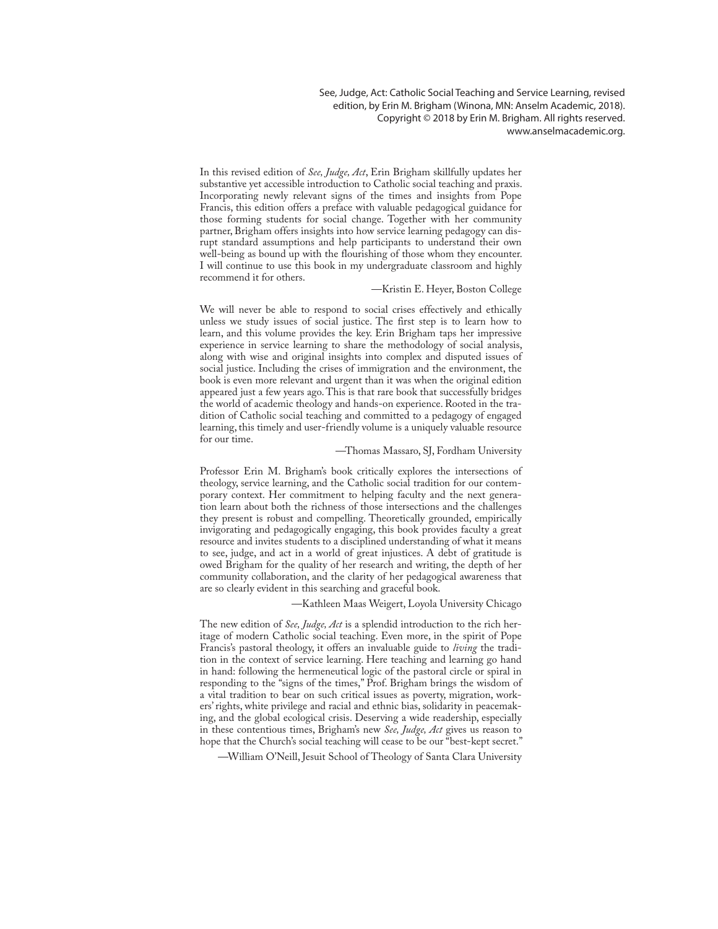See, Judge, Act: Catholic Social Teaching and Service Learning, revised edition, by Erin M. Brigham (Winona, MN: Anselm Academic, 2018). Copyright © 2018 by Erin M. Brigham. All rights reserved. www.anselmacademic.org.

In this revised edition of *See, Judge, Act*, Erin Brigham skillfully updates her substantive yet accessible introduction to Catholic social teaching and praxis. Incorporating newly relevant signs of the times and insights from Pope Francis, this edition offers a preface with valuable pedagogical guidance for those forming students for social change. Together with her community partner, Brigham offers insights into how service learning pedagogy can disrupt standard assumptions and help participants to understand their own well-being as bound up with the flourishing of those whom they encounter. I will continue to use this book in my undergraduate classroom and highly recommend it for others.

#### —Kristin E. Heyer, Boston College

We will never be able to respond to social crises effectively and ethically unless we study issues of social justice. The first step is to learn how to learn, and this volume provides the key. Erin Brigham taps her impressive experience in service learning to share the methodology of social analysis, along with wise and original insights into complex and disputed issues of social justice. Including the crises of immigration and the environment, the book is even more relevant and urgent than it was when the original edition appeared just a few years ago. This is that rare book that successfully bridges the world of academic theology and hands-on experience. Rooted in the tradition of Catholic social teaching and committed to a pedagogy of engaged learning, this timely and user-friendly volume is a uniquely valuable resource for our time.

#### —Thomas Massaro, SJ, Fordham University

Professor Erin M. Brigham's book critically explores the intersections of theology, service learning, and the Catholic social tradition for our contemporary context. Her commitment to helping faculty and the next generation learn about both the richness of those intersections and the challenges they present is robust and compelling. Theoretically grounded, empirically invigorating and pedagogically engaging, this book provides faculty a great resource and invites students to a disciplined understanding of what it means to see, judge, and act in a world of great injustices. A debt of gratitude is owed Brigham for the quality of her research and writing, the depth of her community collaboration, and the clarity of her pedagogical awareness that are so clearly evident in this searching and graceful book.

#### —Kathleen Maas Weigert, Loyola University Chicago

The new edition of *See, Judge, Act* is a splendid introduction to the rich heritage of modern Catholic social teaching. Even more, in the spirit of Pope Francis's pastoral theology, it offers an invaluable guide to *living* the tradition in the context of service learning. Here teaching and learning go hand in hand: following the hermeneutical logic of the pastoral circle or spiral in responding to the "signs of the times," Prof. Brigham brings the wisdom of a vital tradition to bear on such critical issues as poverty, migration, workers' rights, white privilege and racial and ethnic bias, solidarity in peacemaking, and the global ecological crisis. Deserving a wide readership, especially in these contentious times, Brigham's new *See, Judge, Act* gives us reason to hope that the Church's social teaching will cease to be our "best-kept secret."

—William O'Neill, Jesuit School of Theology of Santa Clara University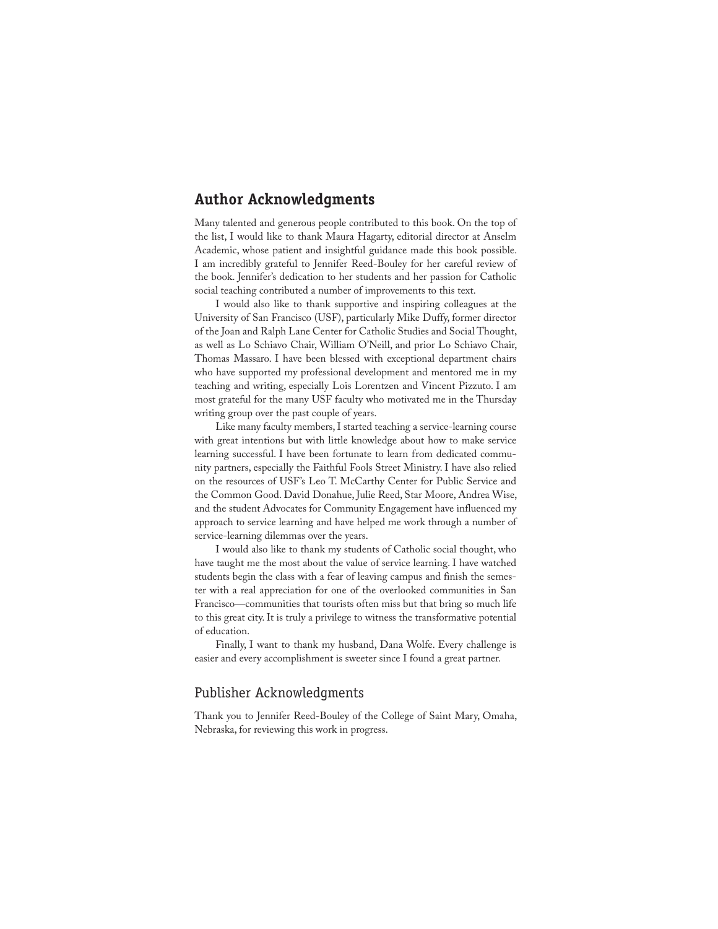# **Author Acknowledgments**

Many talented and generous people contributed to this book. On the top of the list, I would like to thank Maura Hagarty, editorial director at Anselm Academic, whose patient and insightful guidance made this book possible. I am incredibly grateful to Jennifer Reed-Bouley for her careful review of the book. Jennifer's dedication to her students and her passion for Catholic social teaching contributed a number of improvements to this text.

I would also like to thank supportive and inspiring colleagues at the University of San Francisco (USF), particularly Mike Duffy, former director of the Joan and Ralph Lane Center for Catholic Studies and Social Thought, as well as Lo Schiavo Chair, William O'Neill, and prior Lo Schiavo Chair, Thomas Massaro. I have been blessed with exceptional department chairs who have supported my professional development and mentored me in my teaching and writing, especially Lois Lorentzen and Vincent Pizzuto. I am most grateful for the many USF faculty who motivated me in the Thursday writing group over the past couple of years.

Like many faculty members, I started teaching a service-learning course with great intentions but with little knowledge about how to make service learning successful. I have been fortunate to learn from dedicated community partners, especially the Faithful Fools Street Ministry. I have also relied on the resources of USF's Leo T. McCarthy Center for Public Service and the Common Good. David Donahue, Julie Reed, Star Moore, Andrea Wise, and the student Advocates for Community Engagement have influenced my approach to service learning and have helped me work through a number of service-learning dilemmas over the years.

I would also like to thank my students of Catholic social thought, who have taught me the most about the value of service learning. I have watched students begin the class with a fear of leaving campus and finish the semester with a real appreciation for one of the overlooked communities in San Francisco—communities that tourists often miss but that bring so much life to this great city. It is truly a privilege to witness the transformative potential of education.

Finally, I want to thank my husband, Dana Wolfe. Every challenge is easier and every accomplishment is sweeter since I found a great partner.

## Publisher Acknowledgments

Thank you to Jennifer Reed-Bouley of the College of Saint Mary, Omaha, Nebraska, for reviewing this work in progress.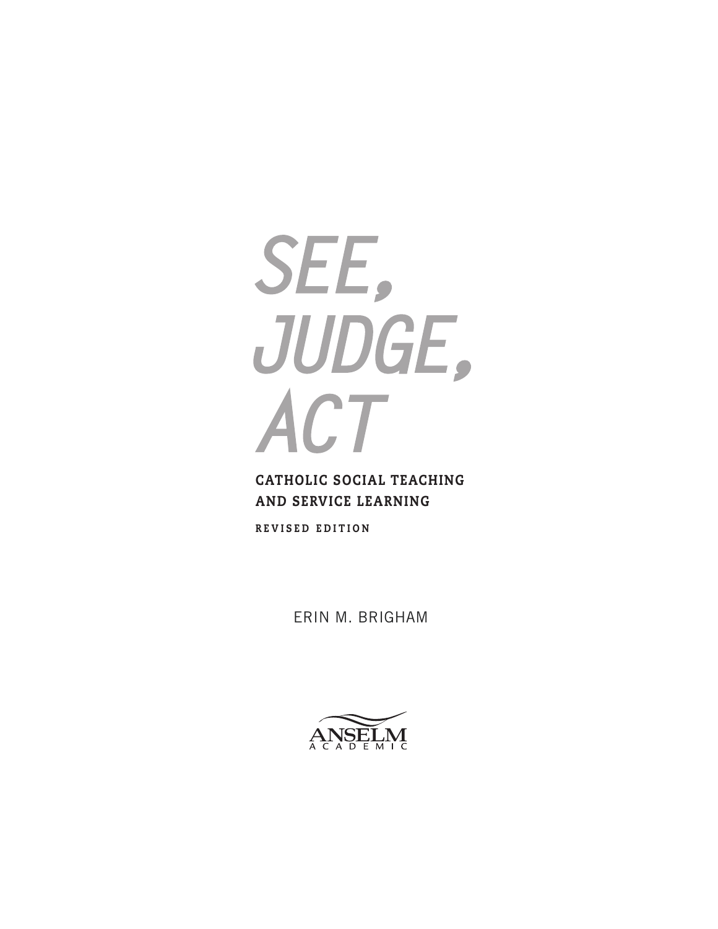# SEE, JUDGE, ACT

CATHOLIC SOCIAL TEACHING AND SERVICE LEARNING

REVISED EDITION

ERIN M. BRIGHAM

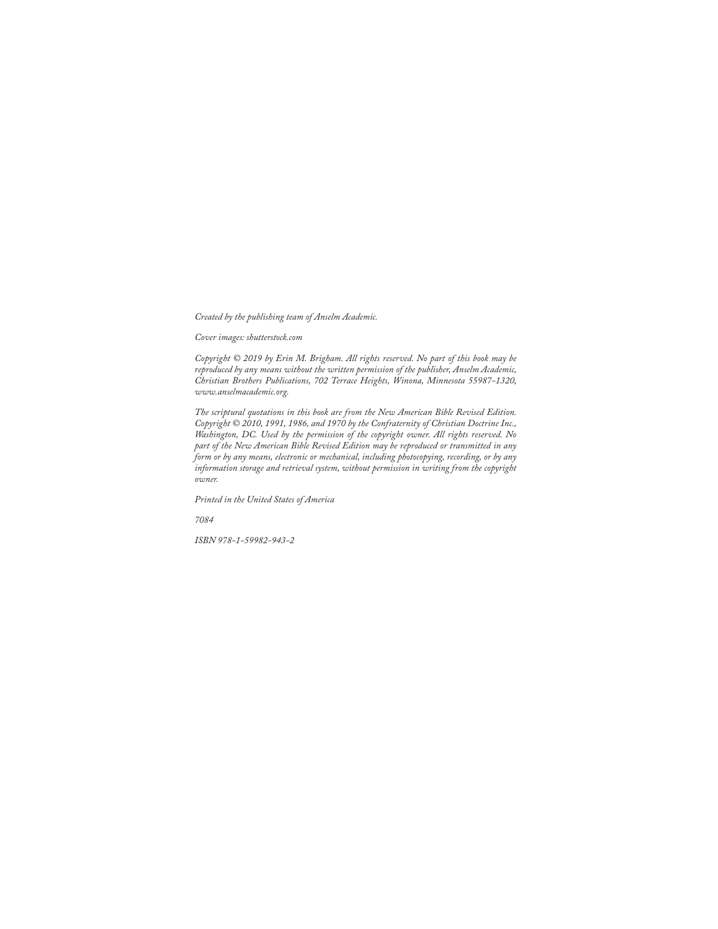*Created by the publishing team of Anselm Academic.*

*Cover images: shutterstock.com* 

*Copyright © 2019 by Erin M. Brigham. All rights reserved. No part of this book may be reproduced by any means without the written permission of the publisher, Anselm Academic, Christian Brothers Publications, 702 Terrace Heights, Winona, Minnesota 55987-1320, www.anselmacademic.org.*

*The scriptural quotations in this book are from the New American Bible Revised Edition. Copyright © 2010, 1991, 1986, and 1970 by the Confraternity of Christian Doctrine Inc., Washington, DC. Used by the permission of the copyright owner. All rights reserved. No part of the New American Bible Revised Edition may be reproduced or transmitted in any form or by any means, electronic or mechanical, including photocopying, recording, or by any information storage and retrieval system, without permission in writing from the copyright owner.*

*Printed in the United States of America*

*7084*

*ISBN 978-1-59982-943-2*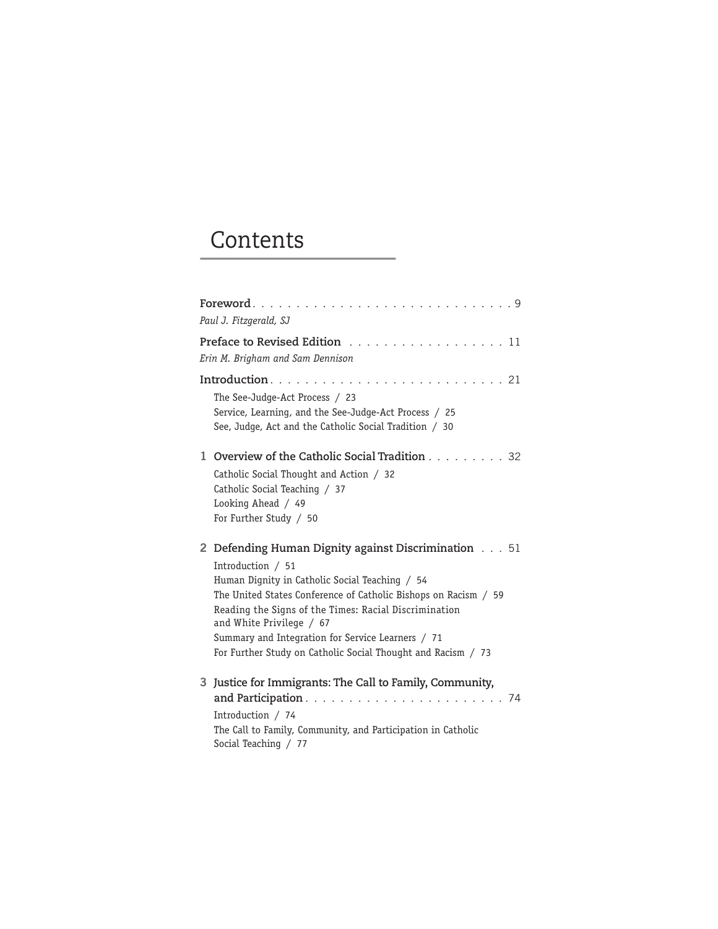# **Contents**

| Foreword<br><u>. 9</u><br>Paul J. Fitzgerald, SJ                                                                                                                                                                                                                                                                                                                                                        |
|---------------------------------------------------------------------------------------------------------------------------------------------------------------------------------------------------------------------------------------------------------------------------------------------------------------------------------------------------------------------------------------------------------|
| Preface to Revised Edition 11<br>Erin M. Brigham and Sam Dennison                                                                                                                                                                                                                                                                                                                                       |
| Introduction<br>The See-Judge-Act Process / 23<br>Service, Learning, and the See-Judge-Act Process / 25<br>See, Judge, Act and the Catholic Social Tradition / 30                                                                                                                                                                                                                                       |
| 1 Overview of the Catholic Social Tradition 32<br>Catholic Social Thought and Action / 32<br>Catholic Social Teaching / 37<br>Looking Ahead / 49<br>For Further Study / 50                                                                                                                                                                                                                              |
| 2 Defending Human Dignity against Discrimination 51<br>Introduction / 51<br>Human Dignity in Catholic Social Teaching / 54<br>The United States Conference of Catholic Bishops on Racism / 59<br>Reading the Signs of the Times: Racial Discrimination<br>and White Privilege / 67<br>Summary and Integration for Service Learners / 71<br>For Further Study on Catholic Social Thought and Racism / 73 |
| 3 Justice for Immigrants: The Call to Family, Community,<br>Introduction / 74<br>The Call to Family, Community, and Participation in Catholic<br>Social Teaching / 77                                                                                                                                                                                                                                   |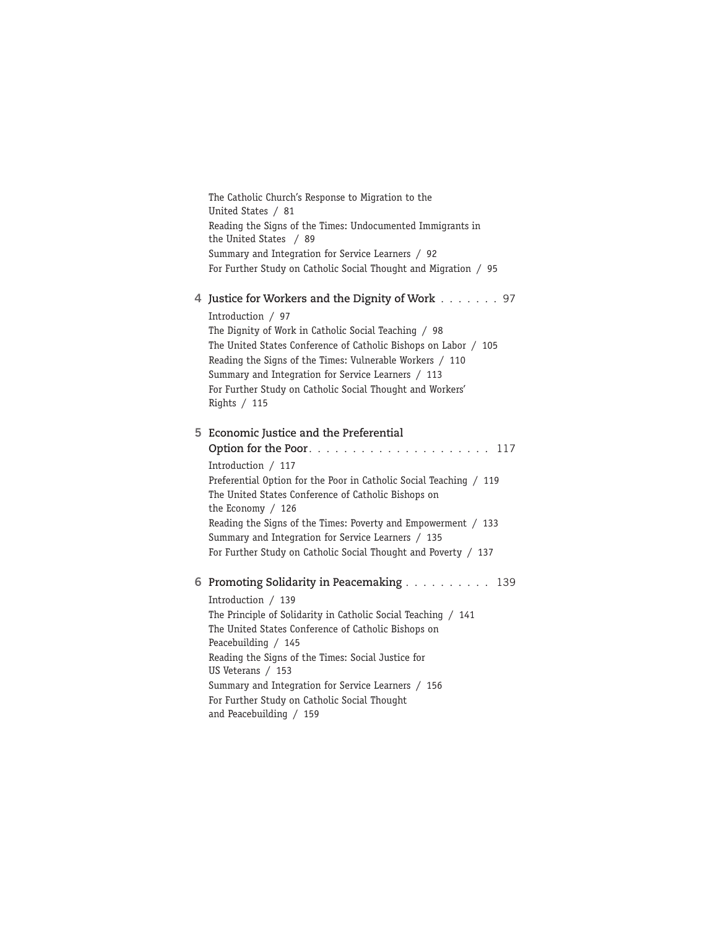The Catholic Church's Response to Migration to the United States / 81 Reading the Signs of the Times: Undocumented Immigrants in the United States / 89 Summary and Integration for Service Learners / 92 For Further Study on Catholic Social Thought and Migration / 95 4 Justice for Workers and the Dignity of Work . . . . . . . 97 Introduction / 97 The Dignity of Work in Catholic Social Teaching / 98 The United States Conference of Catholic Bishops on Labor / 105 Reading the Signs of the Times: Vulnerable Workers / 110 Summary and Integration for Service Learners / 113 For Further Study on Catholic Social Thought and Workers' Rights / 115 5 **Economic Justice and the Preferential Option for the Poor** 117 Introduction / 117 Preferential Option for the Poor in Catholic Social Teaching / 119 The United States Conference of Catholic Bishops on the Economy / 126 Reading the Signs of the Times: Poverty and Empowerment / 133 Summary and Integration for Service Learners / 135 For Further Study on Catholic Social Thought and Poverty / 137 **6 Promoting Solidarity in Peacemaking** . . . . . . . . . . 139 Introduction / 139 The Principle of Solidarity in Catholic Social Teaching / 141 The United States Conference of Catholic Bishops on Peacebuilding / 145 Reading the Signs of the Times: Social Justice for US Veterans / 153 Summary and Integration for Service Learners / 156 For Further Study on Catholic Social Thought and Peacebuilding / 159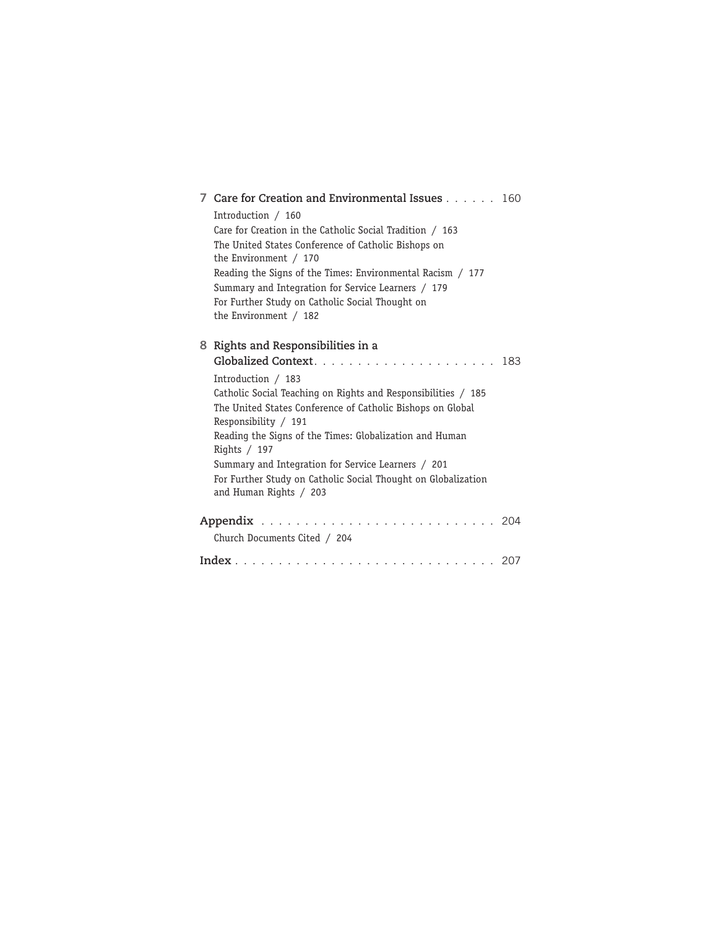| 7 Care for Creation and Environmental Issues 160                          |     |
|---------------------------------------------------------------------------|-----|
| Introduction / 160                                                        |     |
| Care for Creation in the Catholic Social Tradition / 163                  |     |
| The United States Conference of Catholic Bishops on                       |     |
| the Environment $/170$                                                    |     |
| Reading the Signs of the Times: Environmental Racism / 177                |     |
| Summary and Integration for Service Learners / 179                        |     |
| For Further Study on Catholic Social Thought on<br>the Environment $/182$ |     |
|                                                                           |     |
| Rights and Responsibilities in a<br>8                                     |     |
|                                                                           | 183 |
| Introduction / 183                                                        |     |
| Catholic Social Teaching on Rights and Responsibilities / 185             |     |
| The United States Conference of Catholic Bishops on Global                |     |
| Responsibility / 191                                                      |     |
| Reading the Signs of the Times: Globalization and Human<br>Rights / 197   |     |
| Summary and Integration for Service Learners / 201                        |     |
| For Further Study on Catholic Social Thought on Globalization             |     |
| and Human Rights / 203                                                    |     |
|                                                                           |     |
|                                                                           |     |
| Church Documents Cited / 204                                              |     |
|                                                                           |     |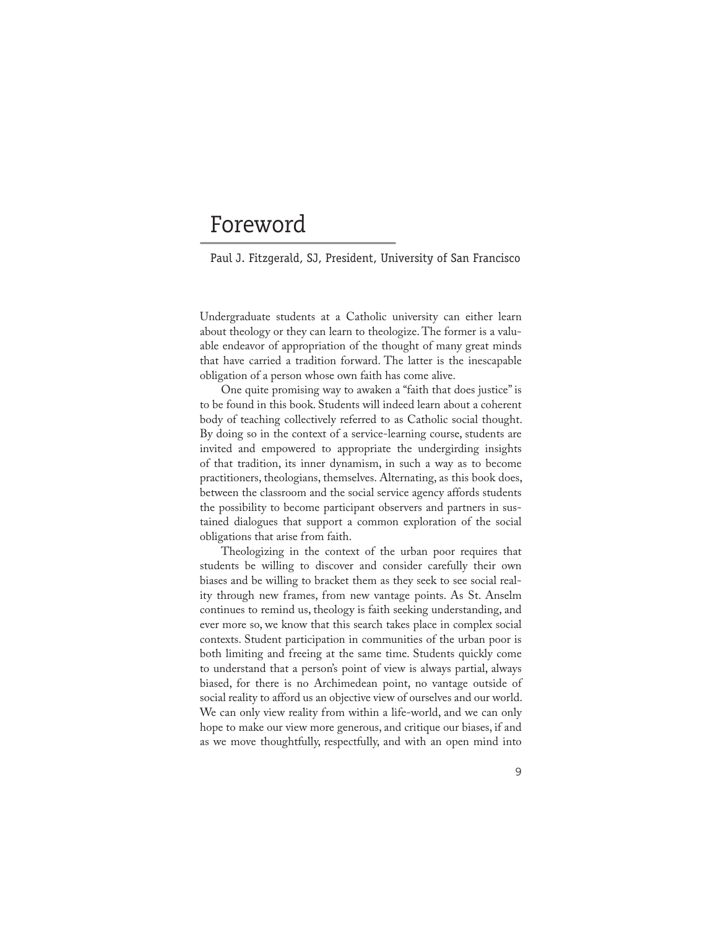# Foreword

Paul J. Fitzgerald, SJ, President, University of San Francisco

Undergraduate students at a Catholic university can either learn about theology or they can learn to theologize. The former is a valuable endeavor of appropriation of the thought of many great minds that have carried a tradition forward. The latter is the inescapable obligation of a person whose own faith has come alive.

One quite promising way to awaken a "faith that does justice" is to be found in this book. Students will indeed learn about a coherent body of teaching collectively referred to as Catholic social thought. By doing so in the context of a service-learning course, students are invited and empowered to appropriate the undergirding insights of that tradition, its inner dynamism, in such a way as to become practitioners, theologians, themselves. Alternating, as this book does, between the classroom and the social service agency affords students the possibility to become participant observers and partners in sustained dialogues that support a common exploration of the social obligations that arise from faith.

Theologizing in the context of the urban poor requires that students be willing to discover and consider carefully their own biases and be willing to bracket them as they seek to see social reality through new frames, from new vantage points. As St. Anselm continues to remind us, theology is faith seeking understanding, and ever more so, we know that this search takes place in complex social contexts. Student participation in communities of the urban poor is both limiting and freeing at the same time. Students quickly come to understand that a person's point of view is always partial, always biased, for there is no Archimedean point, no vantage outside of social reality to afford us an objective view of ourselves and our world. We can only view reality from within a life-world, and we can only hope to make our view more generous, and critique our biases, if and as we move thoughtfully, respectfully, and with an open mind into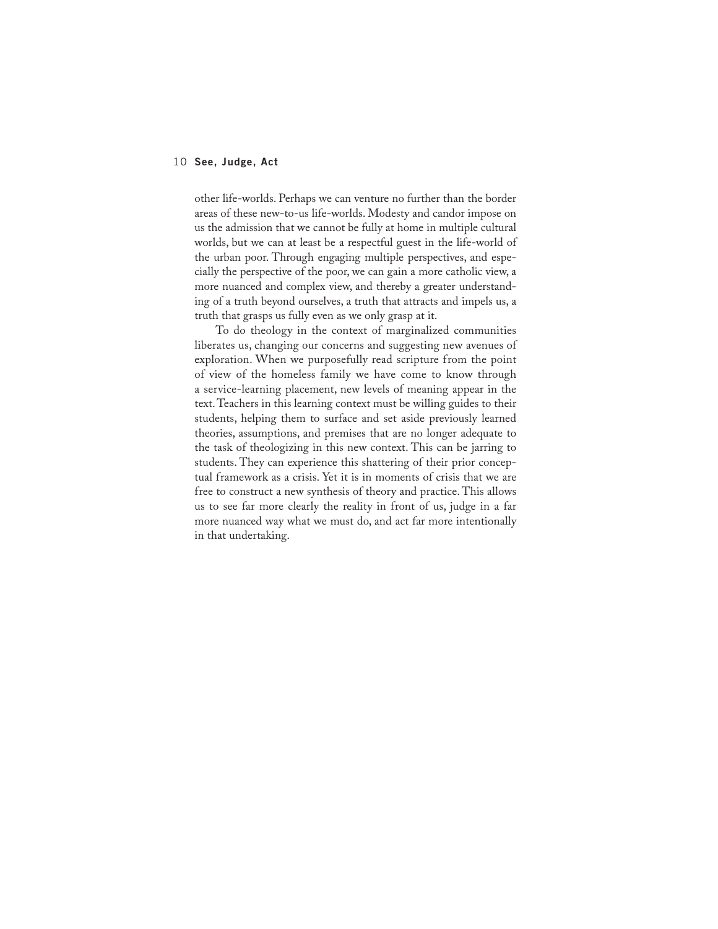other life-worlds. Perhaps we can venture no further than the border areas of these new-to-us life-worlds. Modesty and candor impose on us the admission that we cannot be fully at home in multiple cultural worlds, but we can at least be a respectful guest in the life-world of the urban poor. Through engaging multiple perspectives, and especially the perspective of the poor, we can gain a more catholic view, a more nuanced and complex view, and thereby a greater understanding of a truth beyond ourselves, a truth that attracts and impels us, a truth that grasps us fully even as we only grasp at it.

To do theology in the context of marginalized communities liberates us, changing our concerns and suggesting new avenues of exploration. When we purposefully read scripture from the point of view of the homeless family we have come to know through a service-learning placement, new levels of meaning appear in the text. Teachers in this learning context must be willing guides to their students, helping them to surface and set aside previously learned theories, assumptions, and premises that are no longer adequate to the task of theologizing in this new context. This can be jarring to students. They can experience this shattering of their prior conceptual framework as a crisis. Yet it is in moments of crisis that we are free to construct a new synthesis of theory and practice. This allows us to see far more clearly the reality in front of us, judge in a far more nuanced way what we must do, and act far more intentionally in that undertaking.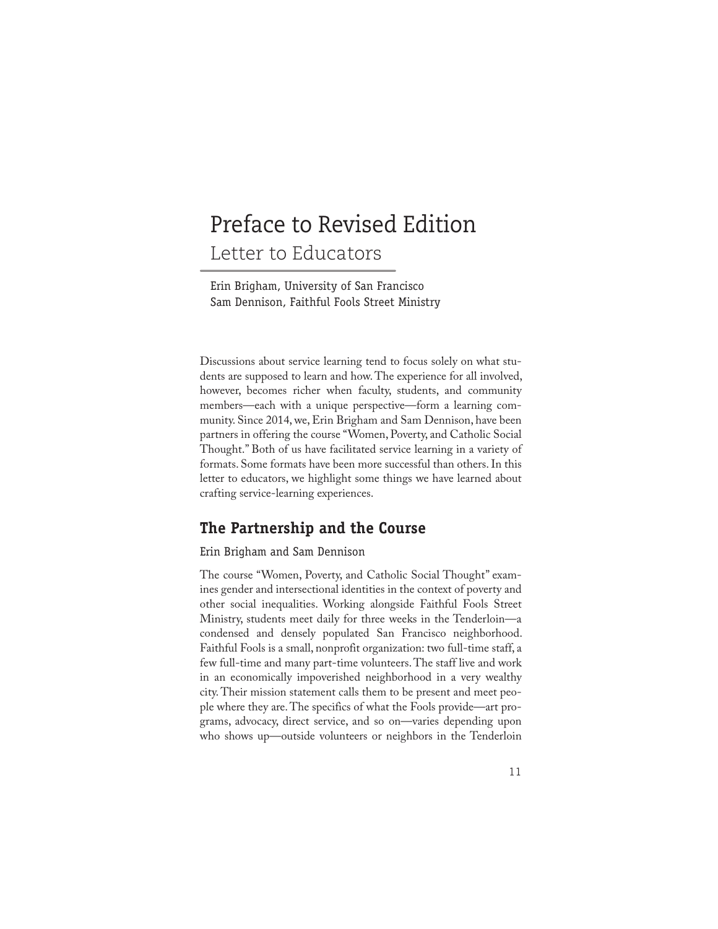# Preface to Revised Edition Letter to Educators

Erin Brigham, University of San Francisco Sam Dennison, Faithful Fools Street Ministry

Discussions about service learning tend to focus solely on what students are supposed to learn and how. The experience for all involved, however, becomes richer when faculty, students, and community members—each with a unique perspective—form a learning community. Since 2014, we, Erin Brigham and Sam Dennison, have been partners in offering the course "Women, Poverty, and Catholic Social Thought." Both of us have facilitated service learning in a variety of formats. Some formats have been more successful than others. In this letter to educators, we highlight some things we have learned about crafting service-learning experiences.

# **The Partnership and the Course**

Erin Brigham and Sam Dennison

The course "Women, Poverty, and Catholic Social Thought" examines gender and intersectional identities in the context of poverty and other social inequalities. Working alongside Faithful Fools Street Ministry, students meet daily for three weeks in the Tenderloin—a condensed and densely populated San Francisco neighborhood. Faithful Fools is a small, nonprofit organization: two full-time staff, a few full-time and many part-time volunteers. The staff live and work in an economically impoverished neighborhood in a very wealthy city. Their mission statement calls them to be present and meet people where they are. The specifics of what the Fools provide—art programs, advocacy, direct service, and so on—varies depending upon who shows up—outside volunteers or neighbors in the Tenderloin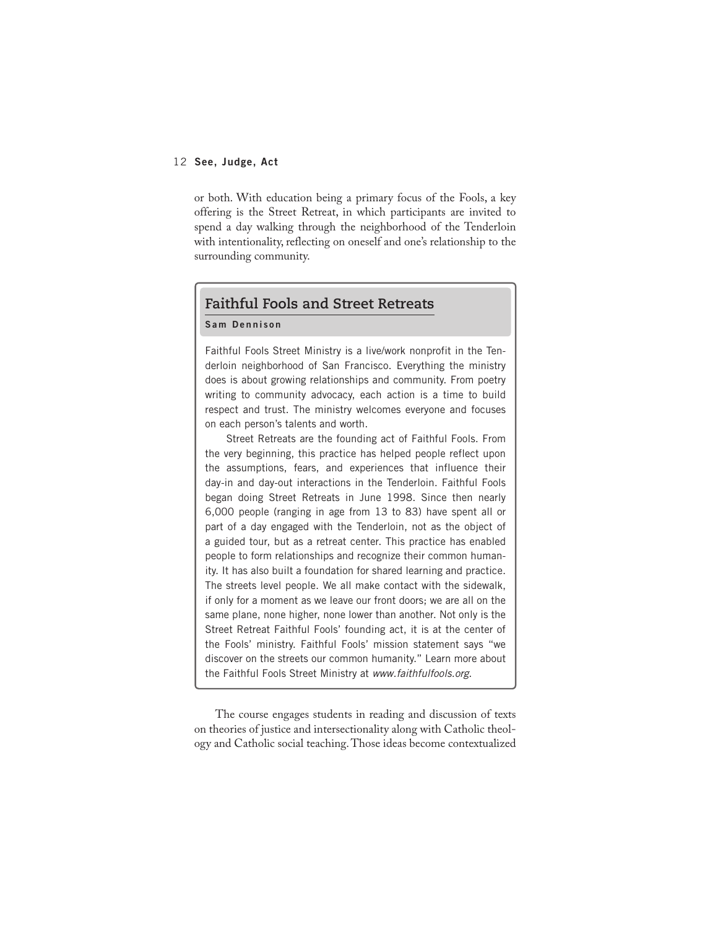or both. With education being a primary focus of the Fools, a key offering is the Street Retreat, in which participants are invited to spend a day walking through the neighborhood of the Tenderloin with intentionality, reflecting on oneself and one's relationship to the surrounding community.

## **Faithful Fools and Street Retreats**

#### Sam Dennison

Faithful Fools Street Ministry is a live/work nonprofit in the Tenderloin neighborhood of San Francisco. Everything the ministry does is about growing relationships and community. From poetry writing to community advocacy, each action is a time to build respect and trust. The ministry welcomes everyone and focuses on each person's talents and worth.

Street Retreats are the founding act of Faithful Fools. From the very beginning, this practice has helped people reflect upon the assumptions, fears, and experiences that influence their day-in and day-out interactions in the Tenderloin. Faithful Fools began doing Street Retreats in June 1998. Since then nearly 6,000 people (ranging in age from 13 to 83) have spent all or part of a day engaged with the Tenderloin, not as the object of a guided tour, but as a retreat center. This practice has enabled people to form relationships and recognize their common humanity. It has also built a foundation for shared learning and practice. The streets level people. We all make contact with the sidewalk, if only for a moment as we leave our front doors; we are all on the same plane, none higher, none lower than another. Not only is the Street Retreat Faithful Fools' founding act, it is at the center of the Fools' ministry. Faithful Fools' mission statement says "we discover on the streets our common humanity." Learn more about the Faithful Fools Street Ministry at *www.faithfulfools.org*.

The course engages students in reading and discussion of texts on theories of justice and intersectionality along with Catholic theology and Catholic social teaching. Those ideas become contextualized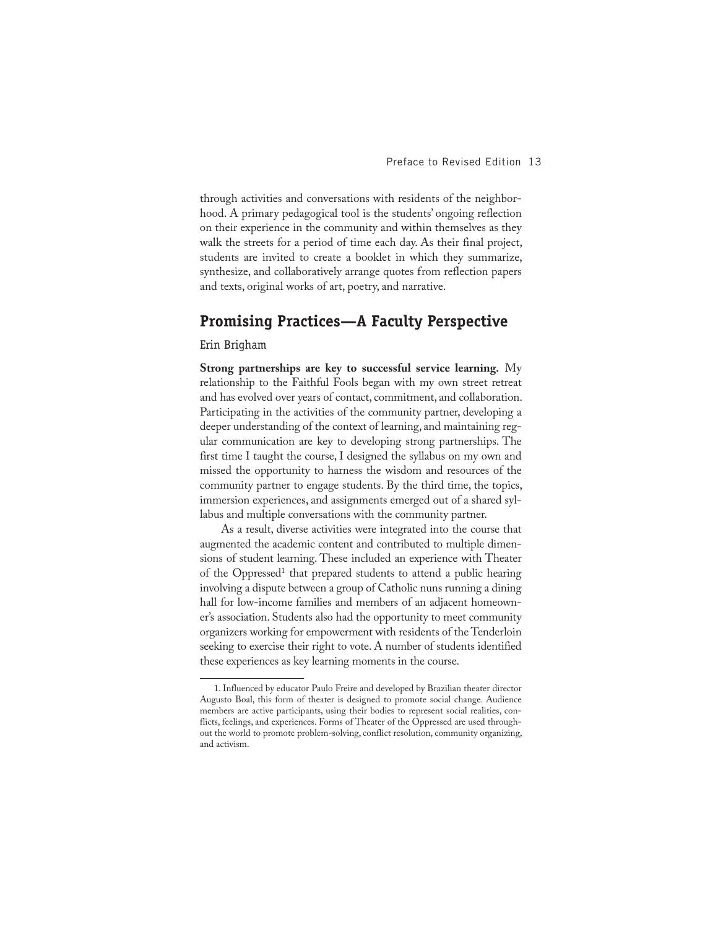through activities and conversations with residents of the neighborhood. A primary pedagogical tool is the students' ongoing reflection on their experience in the community and within themselves as they walk the streets for a period of time each day. As their final project, students are invited to create a booklet in which they summarize, synthesize, and collaboratively arrange quotes from reflection papers and texts, original works of art, poetry, and narrative.

## **Promising Practices—A Faculty Perspective**

#### Erin Brigham

**Strong partnerships are key to successful service learning.** My relationship to the Faithful Fools began with my own street retreat and has evolved over years of contact, commitment, and collaboration. Participating in the activities of the community partner, developing a deeper understanding of the context of learning, and maintaining regular communication are key to developing strong partnerships. The first time I taught the course, I designed the syllabus on my own and missed the opportunity to harness the wisdom and resources of the community partner to engage students. By the third time, the topics, immersion experiences, and assignments emerged out of a shared syllabus and multiple conversations with the community partner.

As a result, diverse activities were integrated into the course that augmented the academic content and contributed to multiple dimensions of student learning. These included an experience with Theater of the Oppressed<sup>1</sup> that prepared students to attend a public hearing involving a dispute between a group of Catholic nuns running a dining hall for low-income families and members of an adjacent homeowner's association. Students also had the opportunity to meet community organizers working for empowerment with residents of the Tenderloin seeking to exercise their right to vote. A number of students identified these experiences as key learning moments in the course.

<sup>1.</sup> Influenced by educator Paulo Freire and developed by Brazilian theater director Augusto Boal, this form of theater is designed to promote social change. Audience members are active participants, using their bodies to represent social realities, conflicts, feelings, and experiences. Forms of Theater of the Oppressed are used throughout the world to promote problem-solving, conflict resolution, community organizing, and activism.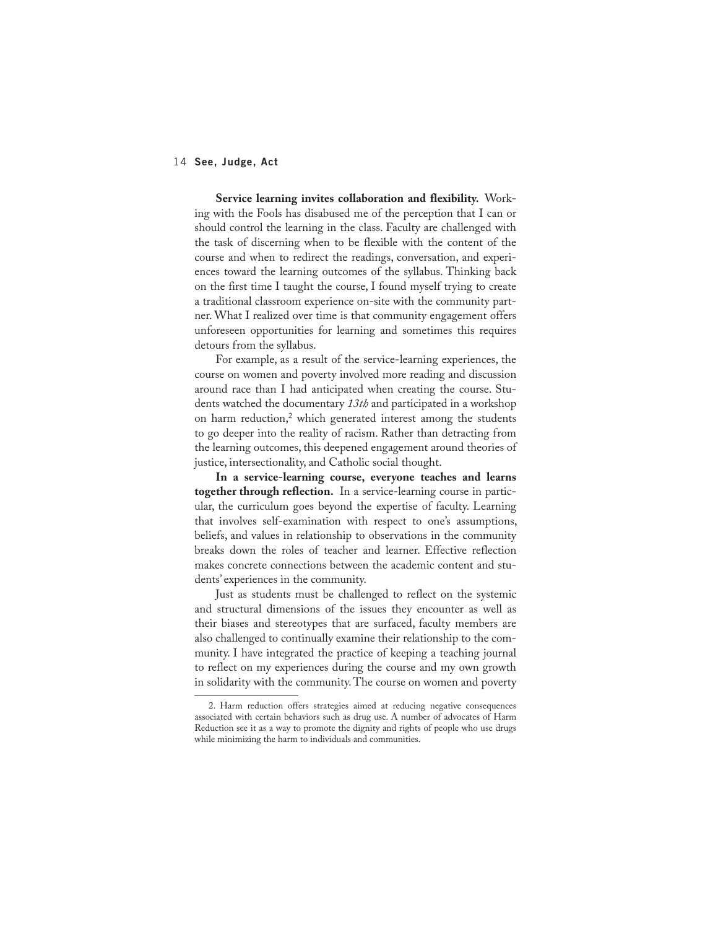**Service learning invites collaboration and flexibility.** Working with the Fools has disabused me of the perception that I can or should control the learning in the class. Faculty are challenged with the task of discerning when to be flexible with the content of the course and when to redirect the readings, conversation, and experiences toward the learning outcomes of the syllabus. Thinking back on the first time I taught the course, I found myself trying to create a traditional classroom experience on-site with the community partner. What I realized over time is that community engagement offers unforeseen opportunities for learning and sometimes this requires detours from the syllabus.

For example, as a result of the service-learning experiences, the course on women and poverty involved more reading and discussion around race than I had anticipated when creating the course. Students watched the documentary *13th* and participated in a workshop on harm reduction,<sup>2</sup> which generated interest among the students to go deeper into the reality of racism. Rather than detracting from the learning outcomes, this deepened engagement around theories of justice, intersectionality, and Catholic social thought.

**In a service-learning course, everyone teaches and learns together through reflection.** In a service-learning course in particular, the curriculum goes beyond the expertise of faculty. Learning that involves self-examination with respect to one's assumptions, beliefs, and values in relationship to observations in the community breaks down the roles of teacher and learner. Effective reflection makes concrete connections between the academic content and students' experiences in the community.

Just as students must be challenged to reflect on the systemic and structural dimensions of the issues they encounter as well as their biases and stereotypes that are surfaced, faculty members are also challenged to continually examine their relationship to the community. I have integrated the practice of keeping a teaching journal to reflect on my experiences during the course and my own growth in solidarity with the community. The course on women and poverty

<sup>2.</sup> Harm reduction offers strategies aimed at reducing negative consequences associated with certain behaviors such as drug use. A number of advocates of Harm Reduction see it as a way to promote the dignity and rights of people who use drugs while minimizing the harm to individuals and communities.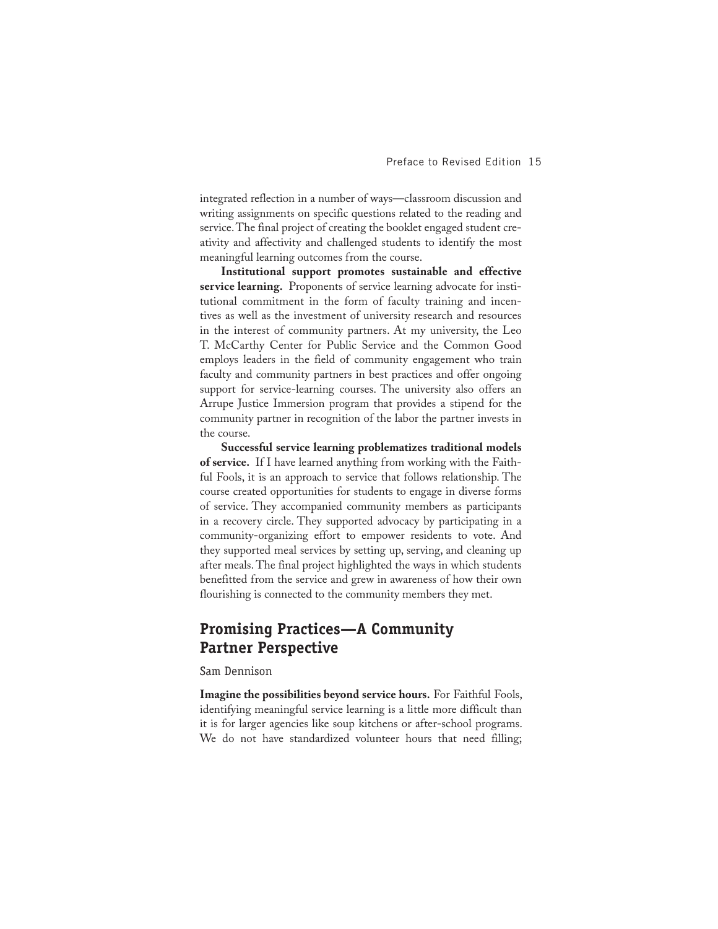integrated reflection in a number of ways—classroom discussion and writing assignments on specific questions related to the reading and service. The final project of creating the booklet engaged student creativity and affectivity and challenged students to identify the most meaningful learning outcomes from the course.

**Institutional support promotes sustainable and effective**  service learning. Proponents of service learning advocate for institutional commitment in the form of faculty training and incentives as well as the investment of university research and resources in the interest of community partners. At my university, the Leo T. McCarthy Center for Public Service and the Common Good employs leaders in the field of community engagement who train faculty and community partners in best practices and offer ongoing support for service-learning courses. The university also offers an Arrupe Justice Immersion program that provides a stipend for the community partner in recognition of the labor the partner invests in the course.

**Successful service learning problematizes traditional models of service.** If I have learned anything from working with the Faithful Fools, it is an approach to service that follows relationship. The course created opportunities for students to engage in diverse forms of service. They accompanied community members as participants in a recovery circle. They supported advocacy by participating in a community-organizing effort to empower residents to vote. And they supported meal services by setting up, serving, and cleaning up after meals. The final project highlighted the ways in which students benefitted from the service and grew in awareness of how their own flourishing is connected to the community members they met.

# **Promising Practices—A Community Partner Perspective**

#### Sam Dennison

**Imagine the possibilities beyond service hours.** For Faithful Fools, identifying meaningful service learning is a little more difficult than it is for larger agencies like soup kitchens or after-school programs. We do not have standardized volunteer hours that need filling;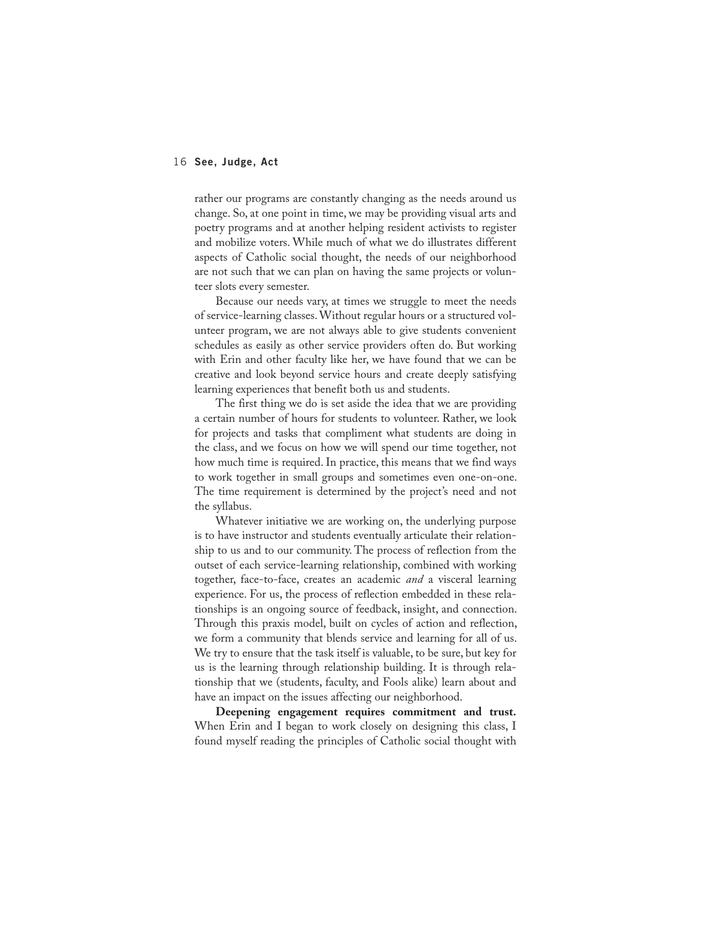rather our programs are constantly changing as the needs around us change. So, at one point in time, we may be providing visual arts and poetry programs and at another helping resident activists to register and mobilize voters. While much of what we do illustrates different aspects of Catholic social thought, the needs of our neighborhood are not such that we can plan on having the same projects or volunteer slots every semester.

Because our needs vary, at times we struggle to meet the needs of service-learning classes. Without regular hours or a structured volunteer program, we are not always able to give students convenient schedules as easily as other service providers often do. But working with Erin and other faculty like her, we have found that we can be creative and look beyond service hours and create deeply satisfying learning experiences that benefit both us and students.

The first thing we do is set aside the idea that we are providing a certain number of hours for students to volunteer. Rather, we look for projects and tasks that compliment what students are doing in the class, and we focus on how we will spend our time together, not how much time is required. In practice, this means that we find ways to work together in small groups and sometimes even one-on-one. The time requirement is determined by the project's need and not the syllabus.

Whatever initiative we are working on, the underlying purpose is to have instructor and students eventually articulate their relationship to us and to our community. The process of reflection from the outset of each service-learning relationship, combined with working together, face-to-face, creates an academic *and* a visceral learning experience. For us, the process of reflection embedded in these relationships is an ongoing source of feedback, insight, and connection. Through this praxis model, built on cycles of action and reflection, we form a community that blends service and learning for all of us. We try to ensure that the task itself is valuable, to be sure, but key for us is the learning through relationship building. It is through relationship that we (students, faculty, and Fools alike) learn about and have an impact on the issues affecting our neighborhood.

**Deepening engagement requires commitment and trust.** When Erin and I began to work closely on designing this class, I found myself reading the principles of Catholic social thought with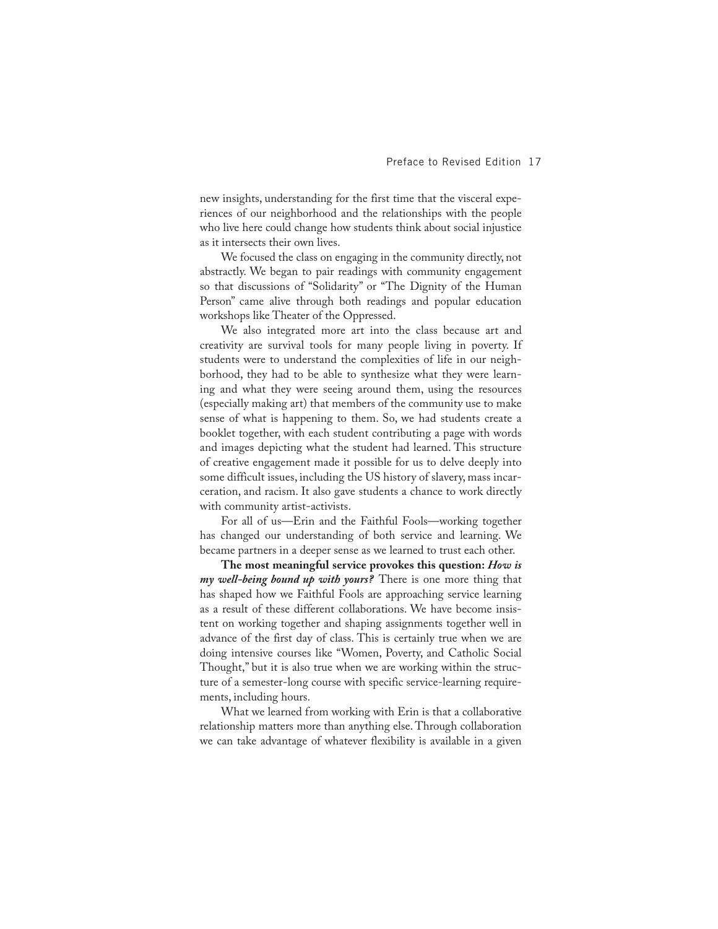new insights, understanding for the first time that the visceral experiences of our neighborhood and the relationships with the people who live here could change how students think about social injustice as it intersects their own lives.

We focused the class on engaging in the community directly, not abstractly. We began to pair readings with community engagement so that discussions of "Solidarity" or "The Dignity of the Human Person" came alive through both readings and popular education workshops like Theater of the Oppressed.

We also integrated more art into the class because art and creativity are survival tools for many people living in poverty. If students were to understand the complexities of life in our neighborhood, they had to be able to synthesize what they were learning and what they were seeing around them, using the resources (especially making art) that members of the community use to make sense of what is happening to them. So, we had students create a booklet together, with each student contributing a page with words and images depicting what the student had learned. This structure of creative engagement made it possible for us to delve deeply into some difficult issues, including the US history of slavery, mass incarceration, and racism. It also gave students a chance to work directly with community artist-activists.

For all of us—Erin and the Faithful Fools—working together has changed our understanding of both service and learning. We became partners in a deeper sense as we learned to trust each other.

**The most meaningful service provokes this question:** *How is my well-being bound up with yours?* There is one more thing that has shaped how we Faithful Fools are approaching service learning as a result of these different collaborations. We have become insistent on working together and shaping assignments together well in advance of the first day of class. This is certainly true when we are doing intensive courses like "Women, Poverty, and Catholic Social Thought," but it is also true when we are working within the structure of a semester-long course with specific service-learning requirements, including hours.

What we learned from working with Erin is that a collaborative relationship matters more than anything else. Through collaboration we can take advantage of whatever flexibility is available in a given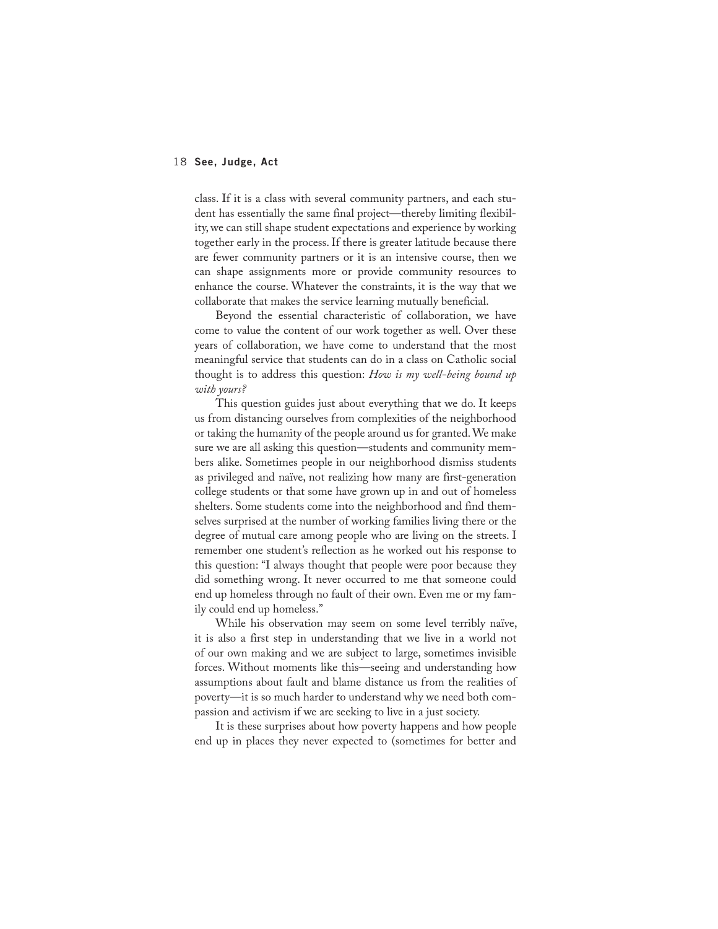class. If it is a class with several community partners, and each student has essentially the same final project—thereby limiting flexibility, we can still shape student expectations and experience by working together early in the process. If there is greater latitude because there are fewer community partners or it is an intensive course, then we can shape assignments more or provide community resources to enhance the course. Whatever the constraints, it is the way that we collaborate that makes the service learning mutually beneficial.

Beyond the essential characteristic of collaboration, we have come to value the content of our work together as well. Over these years of collaboration, we have come to understand that the most meaningful service that students can do in a class on Catholic social thought is to address this question: *How is my well-being bound up with yours?*

This question guides just about everything that we do. It keeps us from distancing ourselves from complexities of the neighborhood or taking the humanity of the people around us for granted. We make sure we are all asking this question—students and community members alike. Sometimes people in our neighborhood dismiss students as privileged and naïve, not realizing how many are first-generation college students or that some have grown up in and out of homeless shelters. Some students come into the neighborhood and find themselves surprised at the number of working families living there or the degree of mutual care among people who are living on the streets. I remember one student's reflection as he worked out his response to this question: "I always thought that people were poor because they did something wrong. It never occurred to me that someone could end up homeless through no fault of their own. Even me or my family could end up homeless."

While his observation may seem on some level terribly naïve, it is also a first step in understanding that we live in a world not of our own making and we are subject to large, sometimes invisible forces. Without moments like this—seeing and understanding how assumptions about fault and blame distance us from the realities of poverty—it is so much harder to understand why we need both compassion and activism if we are seeking to live in a just society.

It is these surprises about how poverty happens and how people end up in places they never expected to (sometimes for better and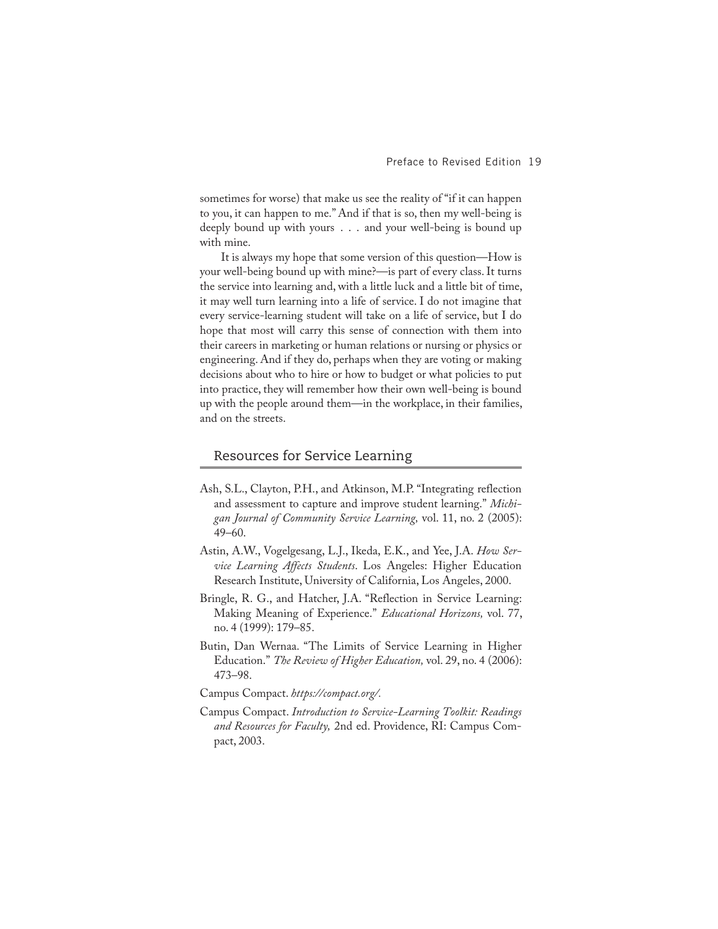sometimes for worse) that make us see the reality of "if it can happen to you, it can happen to me." And if that is so, then my well-being is deeply bound up with yours . . . and your well-being is bound up with mine.

It is always my hope that some version of this question—How is your well-being bound up with mine?—is part of every class. It turns the service into learning and, with a little luck and a little bit of time, it may well turn learning into a life of service. I do not imagine that every service-learning student will take on a life of service, but I do hope that most will carry this sense of connection with them into their careers in marketing or human relations or nursing or physics or engineering. And if they do, perhaps when they are voting or making decisions about who to hire or how to budget or what policies to put into practice, they will remember how their own well-being is bound up with the people around them—in the workplace, in their families, and on the streets.

#### Resources for Service Learning

- Ash, S.L., Clayton, P.H., and Atkinson, M.P. "Integrating reflection and assessment to capture and improve student learning." *Michigan Journal of Community Service Learning,* vol. 11, no. 2 (2005): 49–60.
- Astin, A.W., Vogelgesang, L.J., Ikeda, E.K., and Yee, J.A. *How Service Learning Affects Students*. Los Angeles: Higher Education Research Institute, University of California, Los Angeles, 2000.
- Bringle, R. G., and Hatcher, J.A. "Reflection in Service Learning: Making Meaning of Experience." *Educational Horizons,* vol. 77, no. 4 (1999): 179–85.
- Butin, Dan Wernaa. "The Limits of Service Learning in Higher Education." *The Review of Higher Education,* vol. 29, no. 4 (2006): 473–98.

Campus Compact. *https://compact.org/.*

Campus Compact. *Introduction to Service-Learning Toolkit: Readings and Resources for Faculty,* 2nd ed. Providence, RI: Campus Compact, 2003.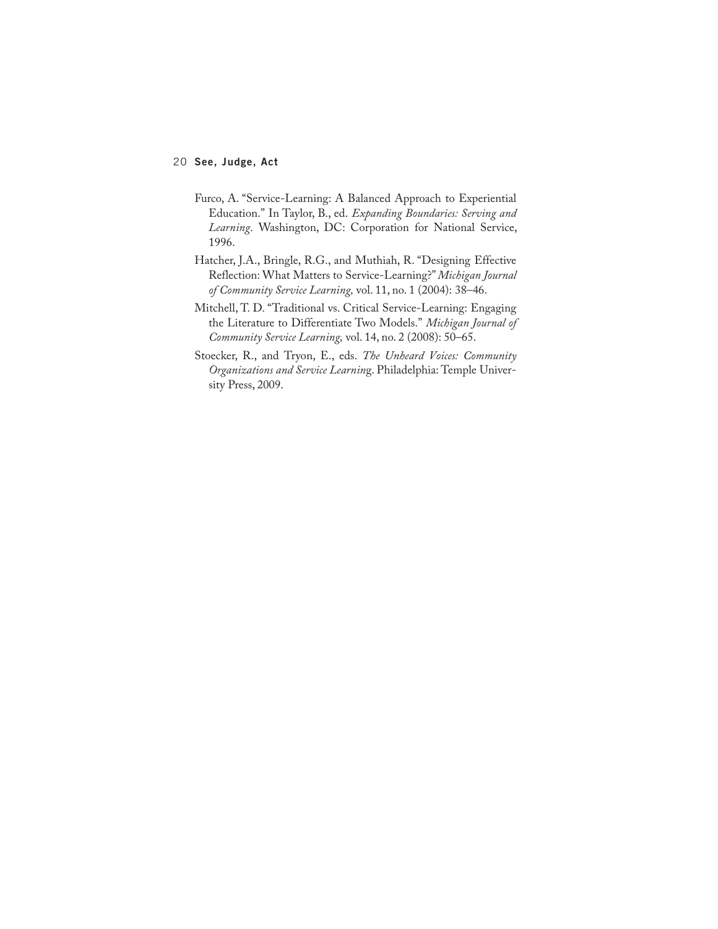- Furco, A. "Service-Learning: A Balanced Approach to Experiential Education." In Taylor, B., ed. *Expanding Boundaries: Serving and Learning*. Washington, DC: Corporation for National Service, 1996.
- Hatcher, J.A., Bringle, R.G., and Muthiah, R. "Designing Effective Reflection: What Matters to Service-Learning?" *Michigan Journal of Community Service Learning,* vol. 11, no. 1 (2004): 38–46.
- Mitchell, T. D. "Traditional vs. Critical Service-Learning: Engaging the Literature to Differentiate Two Models." *Michigan Journal of Community Service Learning,* vol. 14, no. 2 (2008): 50–65.
- Stoecker, R., and Tryon, E., eds. *The Unheard Voices: Community Organizations and Service Learnin*g. Philadelphia: Temple University Press, 2009.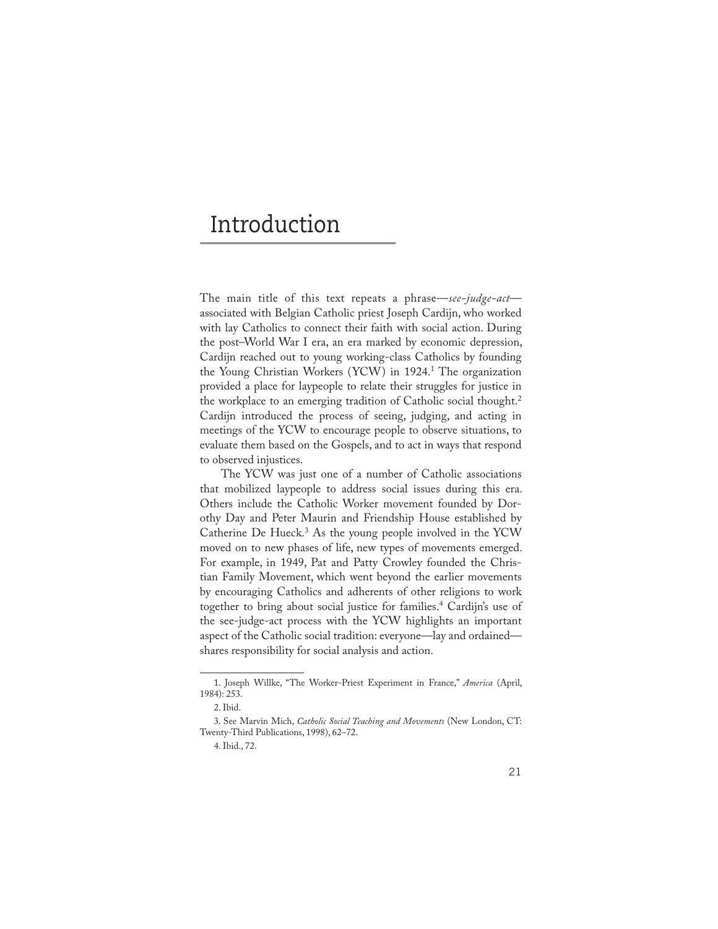# Introduction

The main title of this text repeats a phrase—*see-judge-act* associated with Belgian Catholic priest Joseph Cardijn, who worked with lay Catholics to connect their faith with social action. During the post–World War I era, an era marked by economic depression, Cardijn reached out to young working-class Catholics by founding the Young Christian Workers (YCW) in 1924.<sup>1</sup> The organization provided a place for laypeople to relate their struggles for justice in the workplace to an emerging tradition of Catholic social thought.<sup>2</sup> Cardijn introduced the process of seeing, judging, and acting in meetings of the YCW to encourage people to observe situations, to evaluate them based on the Gospels, and to act in ways that respond to observed injustices.

The YCW was just one of a number of Catholic associations that mobilized laypeople to address social issues during this era. Others include the Catholic Worker movement founded by Dorothy Day and Peter Maurin and Friendship House established by Catherine De Hueck.<sup>3</sup> As the young people involved in the YCW moved on to new phases of life, new types of movements emerged. For example, in 1949, Pat and Patty Crowley founded the Christian Family Movement, which went beyond the earlier movements by encouraging Catholics and adherents of other religions to work together to bring about social justice for families.4 Cardijn's use of the see-judge-act process with the YCW highlights an important aspect of the Catholic social tradition: everyone—lay and ordained shares responsibility for social analysis and action.

<sup>1.</sup> Joseph Willke, "The Worker-Priest Experiment in France," *America* (April, 1984): 253.

<sup>2.</sup> Ibid.

<sup>3.</sup> See Marvin Mich, *Catholic Social Teaching and Movements* (New London, CT: Twenty-Third Publications, 1998), 62–72.

<sup>4.</sup> Ibid., 72.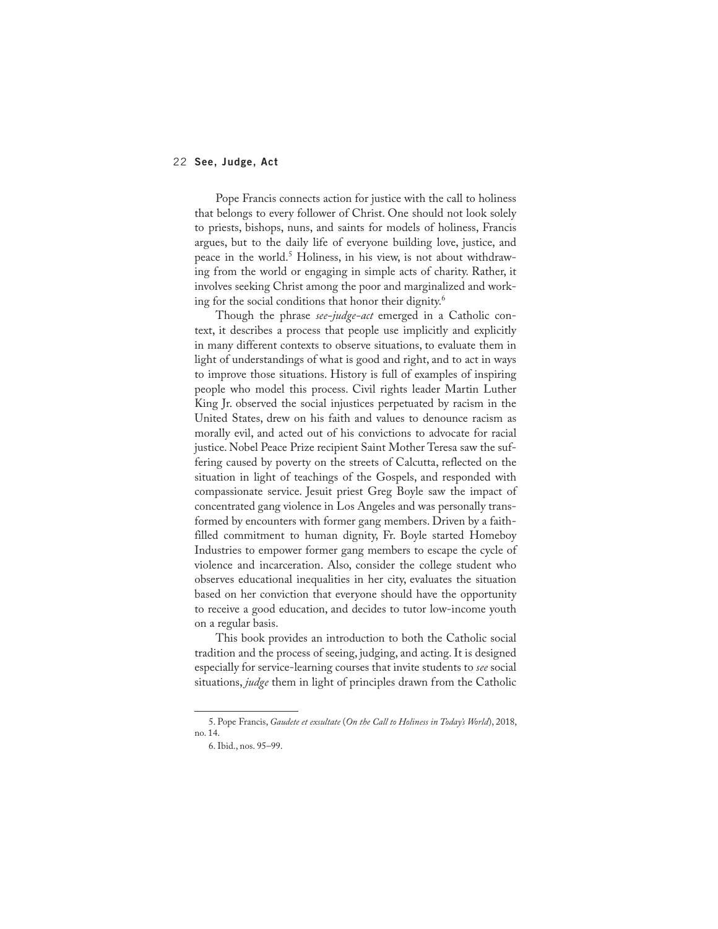Pope Francis connects action for justice with the call to holiness that belongs to every follower of Christ. One should not look solely to priests, bishops, nuns, and saints for models of holiness, Francis argues, but to the daily life of everyone building love, justice, and peace in the world.5 Holiness, in his view, is not about withdrawing from the world or engaging in simple acts of charity. Rather, it involves seeking Christ among the poor and marginalized and working for the social conditions that honor their dignity.<sup>6</sup>

Though the phrase *see-judge-act* emerged in a Catholic context, it describes a process that people use implicitly and explicitly in many different contexts to observe situations, to evaluate them in light of understandings of what is good and right, and to act in ways to improve those situations. History is full of examples of inspiring people who model this process. Civil rights leader Martin Luther King Jr. observed the social injustices perpetuated by racism in the United States, drew on his faith and values to denounce racism as morally evil, and acted out of his convictions to advocate for racial justice. Nobel Peace Prize recipient Saint Mother Teresa saw the suffering caused by poverty on the streets of Calcutta, reflected on the situation in light of teachings of the Gospels, and responded with compassionate service. Jesuit priest Greg Boyle saw the impact of concentrated gang violence in Los Angeles and was personally transformed by encounters with former gang members. Driven by a faithfilled commitment to human dignity, Fr. Boyle started Homeboy Industries to empower former gang members to escape the cycle of violence and incarceration. Also, consider the college student who observes educational inequalities in her city, evaluates the situation based on her conviction that everyone should have the opportunity to receive a good education, and decides to tutor low-income youth on a regular basis.

This book provides an introduction to both the Catholic social tradition and the process of seeing, judging, and acting. It is designed especially for service-learning courses that invite students to *see* social situations, *judge* them in light of principles drawn from the Catholic

<sup>5.</sup> Pope Francis, *Gaudete et exsultate* (*On the Call to Holiness in Today's World*), 2018, no. 14.

<sup>6.</sup> Ibid., nos. 95–99.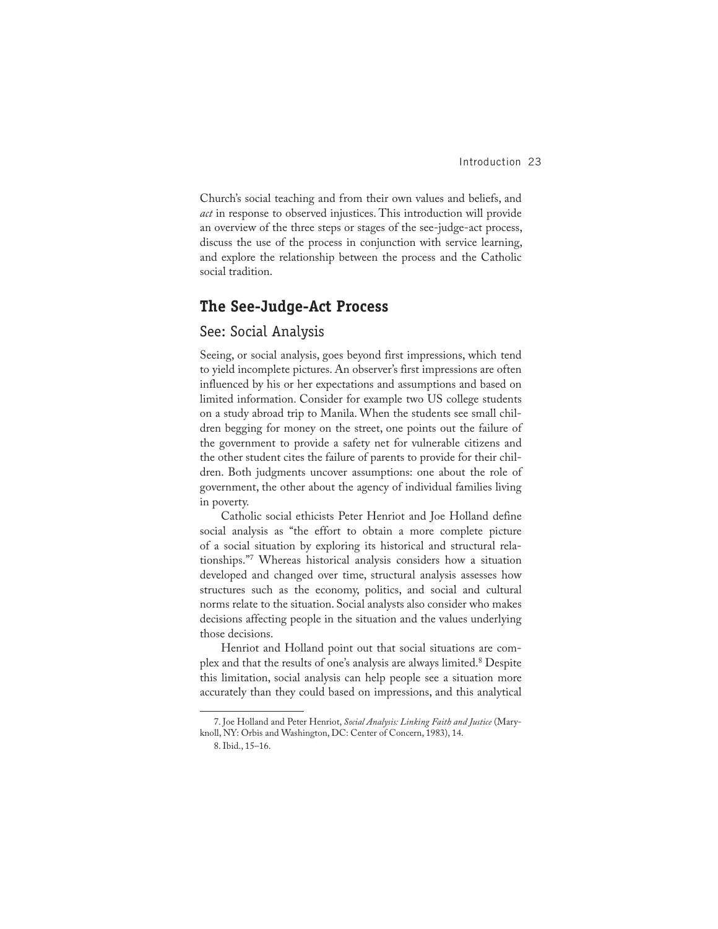Church's social teaching and from their own values and beliefs, and *act* in response to observed injustices. This introduction will provide an overview of the three steps or stages of the see-judge-act process, discuss the use of the process in conjunction with service learning, and explore the relationship between the process and the Catholic social tradition.

## **The See-Judge-Act Process**

#### See: Social Analysis

Seeing, or social analysis, goes beyond first impressions, which tend to yield incomplete pictures. An observer's first impressions are often influenced by his or her expectations and assumptions and based on limited information. Consider for example two US college students on a study abroad trip to Manila. When the students see small children begging for money on the street, one points out the failure of the government to provide a safety net for vulnerable citizens and the other student cites the failure of parents to provide for their children. Both judgments uncover assumptions: one about the role of government, the other about the agency of individual families living in poverty.

Catholic social ethicists Peter Henriot and Joe Holland define social analysis as "the effort to obtain a more complete picture of a social situation by exploring its historical and structural relationships."<sup>7</sup> Whereas historical analysis considers how a situation developed and changed over time, structural analysis assesses how structures such as the economy, politics, and social and cultural norms relate to the situation. Social analysts also consider who makes decisions affecting people in the situation and the values underlying those decisions.

Henriot and Holland point out that social situations are complex and that the results of one's analysis are always limited.8 Despite this limitation, social analysis can help people see a situation more accurately than they could based on impressions, and this analytical

<sup>7.</sup> Joe Holland and Peter Henriot, *Social Analysis: Linking Faith and Justice* (Maryknoll, NY: Orbis and Washington, DC: Center of Concern, 1983), 14.

<sup>8.</sup> Ibid., 15–16.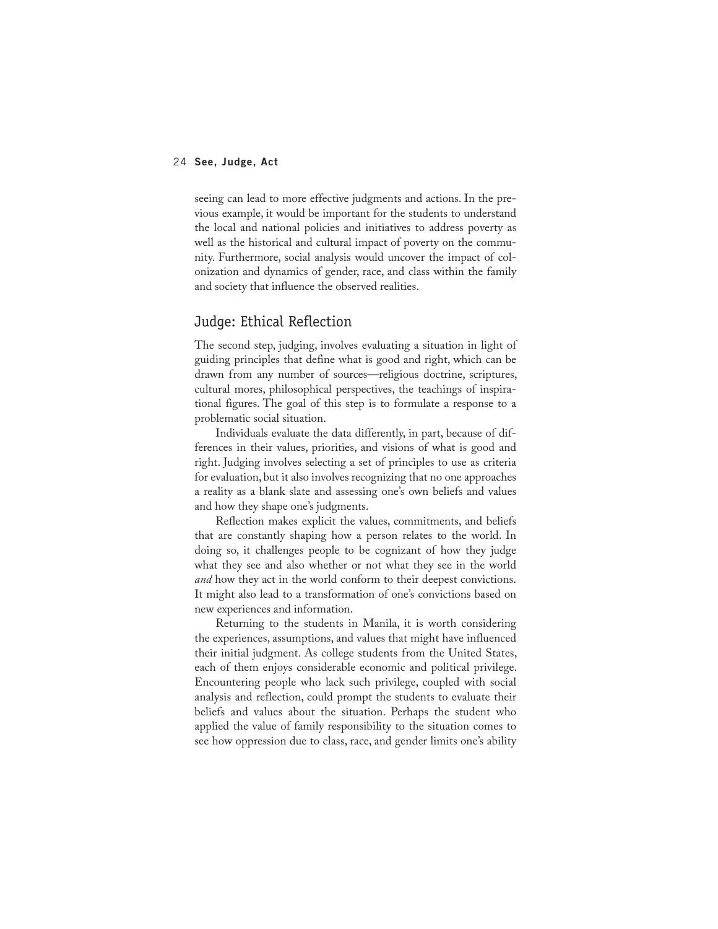seeing can lead to more effective judgments and actions. In the previous example, it would be important for the students to understand the local and national policies and initiatives to address poverty as well as the historical and cultural impact of poverty on the community. Furthermore, social analysis would uncover the impact of colonization and dynamics of gender, race, and class within the family and society that influence the observed realities.

#### Judge: Ethical Reflection

The second step, judging, involves evaluating a situation in light of guiding principles that define what is good and right, which can be drawn from any number of sources—religious doctrine, scriptures, cultural mores, philosophical perspectives, the teachings of inspirational figures. The goal of this step is to formulate a response to a problematic social situation.

Individuals evaluate the data differently, in part, because of differences in their values, priorities, and visions of what is good and right. Judging involves selecting a set of principles to use as criteria for evaluation, but it also involves recognizing that no one approaches a reality as a blank slate and assessing one's own beliefs and values and how they shape one's judgments.

Reflection makes explicit the values, commitments, and beliefs that are constantly shaping how a person relates to the world. In doing so, it challenges people to be cognizant of how they judge what they see and also whether or not what they see in the world *and* how they act in the world conform to their deepest convictions. It might also lead to a transformation of one's convictions based on new experiences and information.

Returning to the students in Manila, it is worth considering the experiences, assumptions, and values that might have influenced their initial judgment. As college students from the United States, each of them enjoys considerable economic and political privilege. Encountering people who lack such privilege, coupled with social analysis and reflection, could prompt the students to evaluate their beliefs and values about the situation. Perhaps the student who applied the value of family responsibility to the situation comes to see how oppression due to class, race, and gender limits one's ability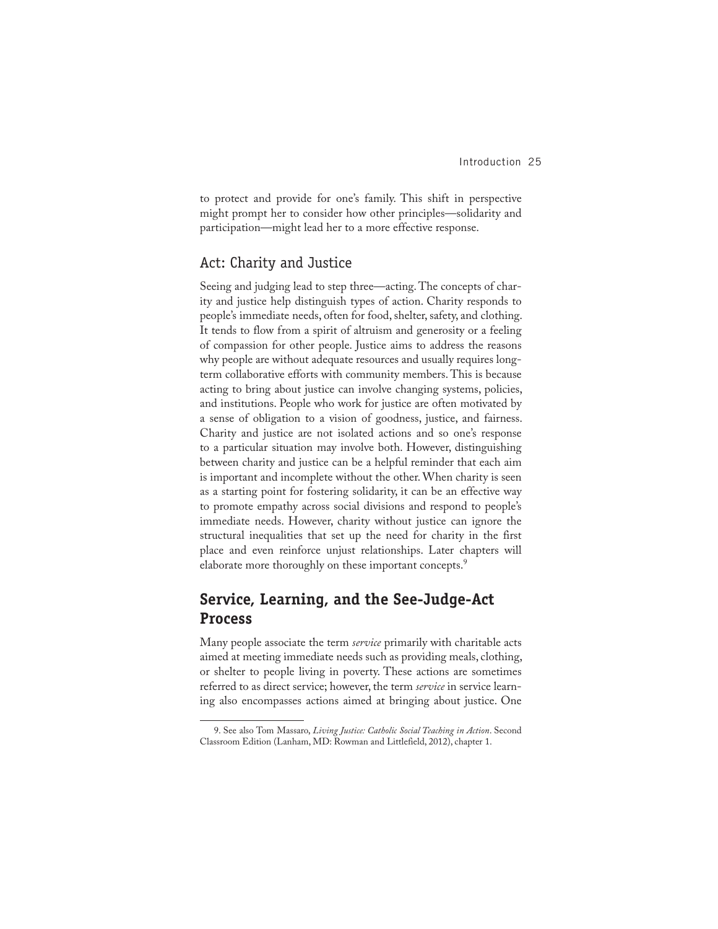to protect and provide for one's family. This shift in perspective might prompt her to consider how other principles—solidarity and participation—might lead her to a more effective response.

#### Act: Charity and Justice

Seeing and judging lead to step three—acting. The concepts of charity and justice help distinguish types of action. Charity responds to people's immediate needs, often for food, shelter, safety, and clothing. It tends to flow from a spirit of altruism and generosity or a feeling of compassion for other people. Justice aims to address the reasons why people are without adequate resources and usually requires longterm collaborative efforts with community members. This is because acting to bring about justice can involve changing systems, policies, and institutions. People who work for justice are often motivated by a sense of obligation to a vision of goodness, justice, and fairness. Charity and justice are not isolated actions and so one's response to a particular situation may involve both. However, distinguishing between charity and justice can be a helpful reminder that each aim is important and incomplete without the other. When charity is seen as a starting point for fostering solidarity, it can be an effective way to promote empathy across social divisions and respond to people's immediate needs. However, charity without justice can ignore the structural inequalities that set up the need for charity in the first place and even reinforce unjust relationships. Later chapters will elaborate more thoroughly on these important concepts.<sup>9</sup>

# **Service, Learning, and the See-Judge-Act Process**

Many people associate the term *service* primarily with charitable acts aimed at meeting immediate needs such as providing meals, clothing, or shelter to people living in poverty. These actions are sometimes referred to as direct service; however, the term *service* in service learning also encompasses actions aimed at bringing about justice. One

<sup>9.</sup> See also Tom Massaro, *Living Justice: Catholic Social Teaching in Action*. Second Classroom Edition (Lanham, MD: Rowman and Littlefield, 2012), chapter 1.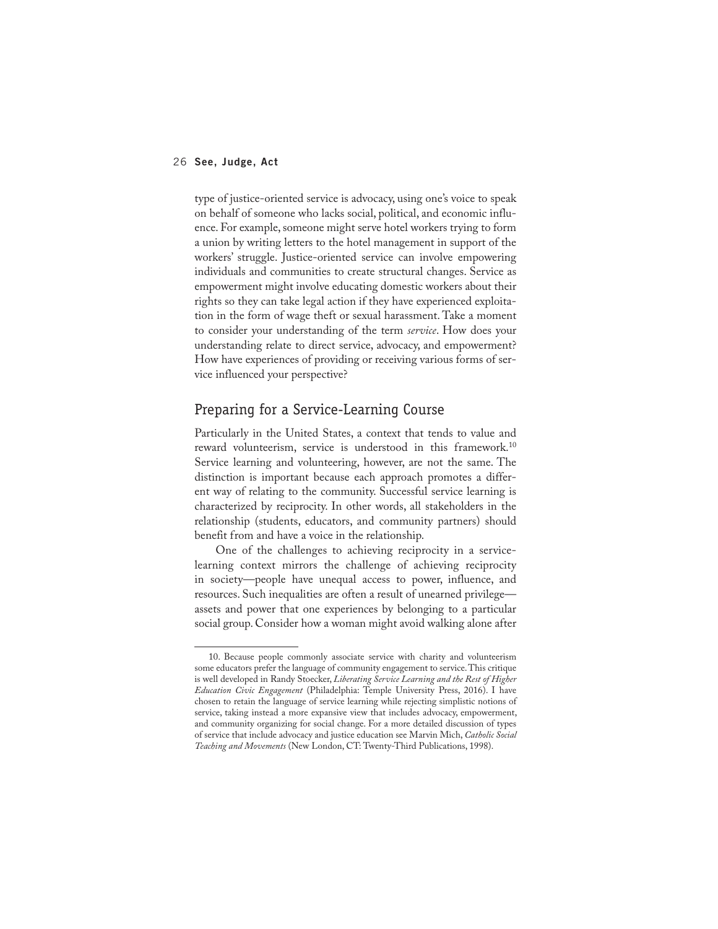type of justice-oriented service is advocacy, using one's voice to speak on behalf of someone who lacks social, political, and economic influence. For example, someone might serve hotel workers trying to form a union by writing letters to the hotel management in support of the workers' struggle. Justice-oriented service can involve empowering individuals and communities to create structural changes. Service as empowerment might involve educating domestic workers about their rights so they can take legal action if they have experienced exploitation in the form of wage theft or sexual harassment. Take a moment to consider your understanding of the term *service*. How does your understanding relate to direct service, advocacy, and empowerment? How have experiences of providing or receiving various forms of service influenced your perspective?

## Preparing for a Service-Learning Course

Particularly in the United States, a context that tends to value and reward volunteerism, service is understood in this framework.<sup>10</sup> Service learning and volunteering, however, are not the same. The distinction is important because each approach promotes a different way of relating to the community. Successful service learning is characterized by reciprocity. In other words, all stakeholders in the relationship (students, educators, and community partners) should benefit from and have a voice in the relationship.

One of the challenges to achieving reciprocity in a servicelearning context mirrors the challenge of achieving reciprocity in society—people have unequal access to power, influence, and resources. Such inequalities are often a result of unearned privilege assets and power that one experiences by belonging to a particular social group. Consider how a woman might avoid walking alone after

<sup>10.</sup> Because people commonly associate service with charity and volunteerism some educators prefer the language of community engagement to service. This critique is well developed in Randy Stoecker, *Liberating Service Learning and the Rest of Higher Education Civic Engagement* (Philadelphia: Temple University Press, 2016). I have chosen to retain the language of service learning while rejecting simplistic notions of service, taking instead a more expansive view that includes advocacy, empowerment, and community organizing for social change. For a more detailed discussion of types of service that include advocacy and justice education see Marvin Mich, *Catholic Social Teaching and Movements* (New London, CT: Twenty-Third Publications, 1998).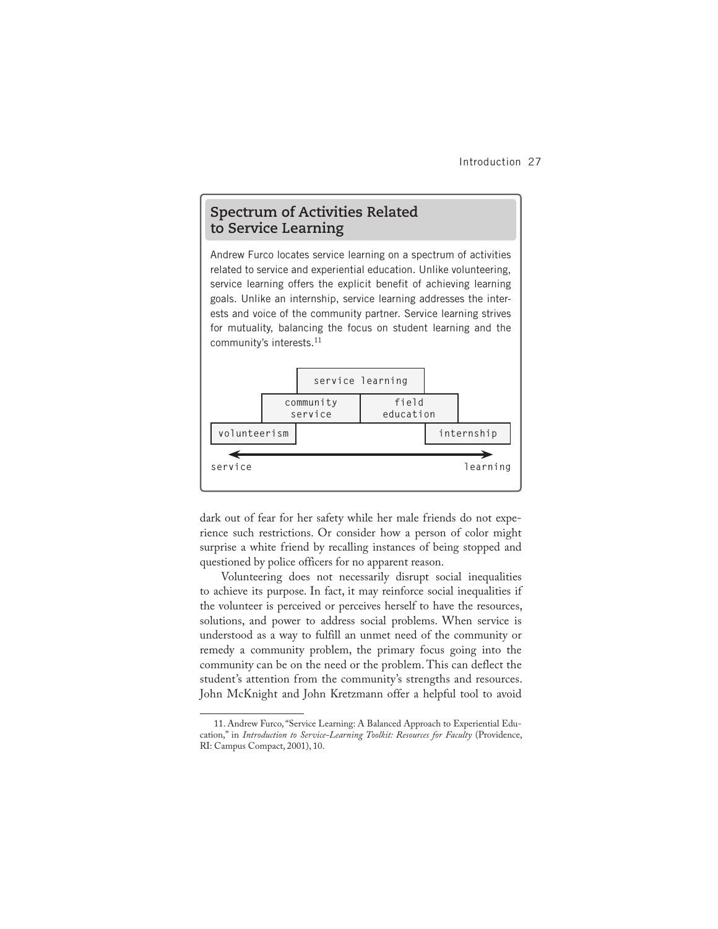# **Spectrum of Activities Related to Service Learning**

Andrew Furco locates service learning on a spectrum of activities related to service and experiential education. Unlike volunteering, service learning offers the explicit benefit of achieving learning goals. Unlike an internship, service learning addresses the interests and voice of the community partner. Service learning strives for mutuality, balancing the focus on student learning and the community's interests.<sup>11</sup>



dark out of fear for her safety while her male friends do not experience such restrictions. Or consider how a person of color might surprise a white friend by recalling instances of being stopped and questioned by police officers for no apparent reason.

Volunteering does not necessarily disrupt social inequalities to achieve its purpose. In fact, it may reinforce social inequalities if the volunteer is perceived or perceives herself to have the resources, solutions, and power to address social problems. When service is understood as a way to fulfill an unmet need of the community or remedy a community problem, the primary focus going into the community can be on the need or the problem. This can deflect the student's attention from the community's strengths and resources. John McKnight and John Kretzmann offer a helpful tool to avoid

<sup>11.</sup> Andrew Furco, "Service Learning: A Balanced Approach to Experiential Education," in *Introduction to Service-Learning Toolkit: Resources for Faculty* (Providence, RI: Campus Compact, 2001), 10.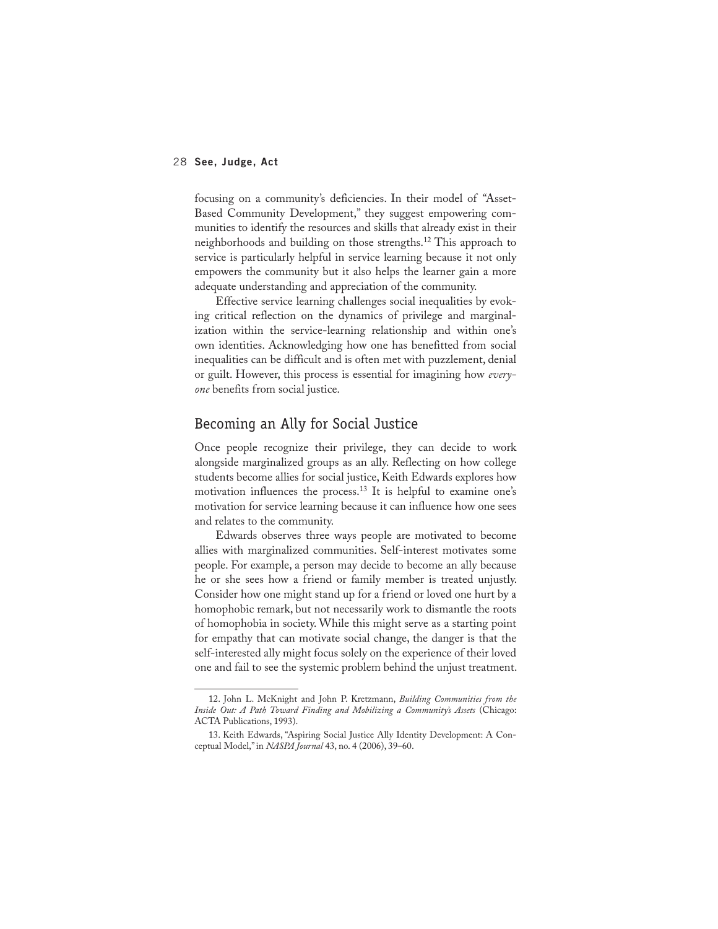focusing on a community's deficiencies. In their model of "Asset-Based Community Development," they suggest empowering communities to identify the resources and skills that already exist in their neighborhoods and building on those strengths.12 This approach to service is particularly helpful in service learning because it not only empowers the community but it also helps the learner gain a more adequate understanding and appreciation of the community.

Effective service learning challenges social inequalities by evoking critical reflection on the dynamics of privilege and marginalization within the service-learning relationship and within one's own identities. Acknowledging how one has benefitted from social inequalities can be difficult and is often met with puzzlement, denial or guilt. However, this process is essential for imagining how *everyone* benefits from social justice.

#### Becoming an Ally for Social Justice

Once people recognize their privilege, they can decide to work alongside marginalized groups as an ally. Reflecting on how college students become allies for social justice, Keith Edwards explores how motivation influences the process.13 It is helpful to examine one's motivation for service learning because it can influence how one sees and relates to the community.

Edwards observes three ways people are motivated to become allies with marginalized communities. Self-interest motivates some people. For example, a person may decide to become an ally because he or she sees how a friend or family member is treated unjustly. Consider how one might stand up for a friend or loved one hurt by a homophobic remark, but not necessarily work to dismantle the roots of homophobia in society. While this might serve as a starting point for empathy that can motivate social change, the danger is that the self-interested ally might focus solely on the experience of their loved one and fail to see the systemic problem behind the unjust treatment.

<sup>12.</sup> John L. McKnight and John P. Kretzmann, *Building Communities from the Inside Out: A Path Toward Finding and Mobilizing a Community's Assets* (Chicago: ACTA Publications, 1993).

<sup>13.</sup> Keith Edwards, "Aspiring Social Justice Ally Identity Development: A Conceptual Model," in *NASPA Journal* 43, no. 4 (2006), 39–60.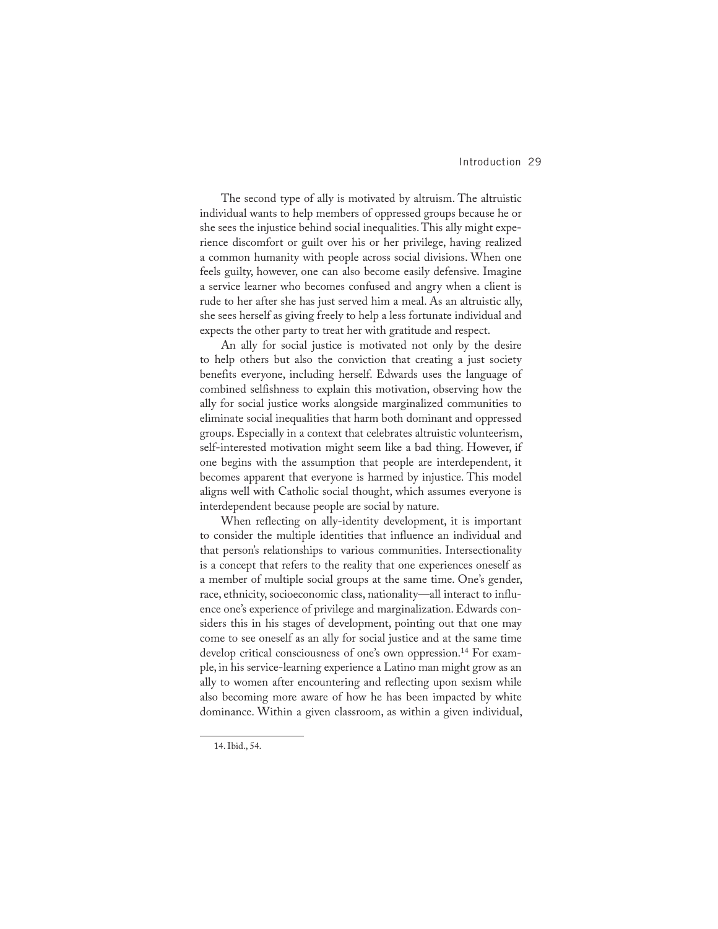The second type of ally is motivated by altruism. The altruistic individual wants to help members of oppressed groups because he or she sees the injustice behind social inequalities. This ally might experience discomfort or guilt over his or her privilege, having realized a common humanity with people across social divisions. When one feels guilty, however, one can also become easily defensive. Imagine a service learner who becomes confused and angry when a client is rude to her after she has just served him a meal. As an altruistic ally, she sees herself as giving freely to help a less fortunate individual and expects the other party to treat her with gratitude and respect.

An ally for social justice is motivated not only by the desire to help others but also the conviction that creating a just society benefits everyone, including herself. Edwards uses the language of combined selfishness to explain this motivation, observing how the ally for social justice works alongside marginalized communities to eliminate social inequalities that harm both dominant and oppressed groups. Especially in a context that celebrates altruistic volunteerism, self-interested motivation might seem like a bad thing. However, if one begins with the assumption that people are interdependent, it becomes apparent that everyone is harmed by injustice. This model aligns well with Catholic social thought, which assumes everyone is interdependent because people are social by nature.

When reflecting on ally-identity development, it is important to consider the multiple identities that influence an individual and that person's relationships to various communities. Intersectionality is a concept that refers to the reality that one experiences oneself as a member of multiple social groups at the same time. One's gender, race, ethnicity, socioeconomic class, nationality—all interact to influence one's experience of privilege and marginalization. Edwards considers this in his stages of development, pointing out that one may come to see oneself as an ally for social justice and at the same time develop critical consciousness of one's own oppression.<sup>14</sup> For example, in his service-learning experience a Latino man might grow as an ally to women after encountering and reflecting upon sexism while also becoming more aware of how he has been impacted by white dominance. Within a given classroom, as within a given individual,

<sup>14.</sup> Ibid., 54.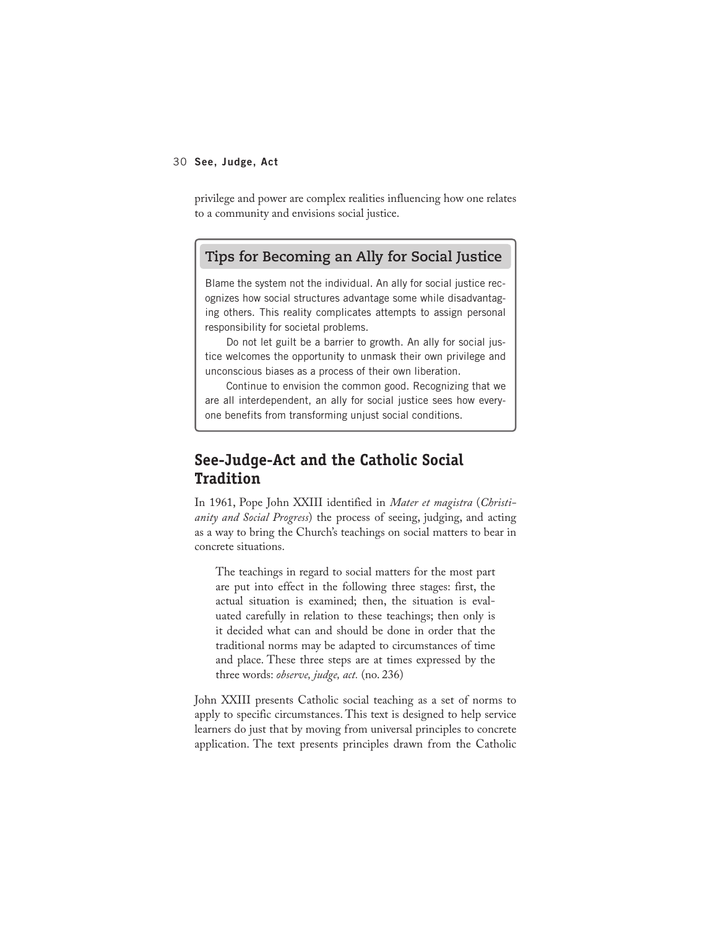privilege and power are complex realities influencing how one relates to a community and envisions social justice.

# **Tips for Becoming an Ally for Social Justice**

Blame the system not the individual. An ally for social justice recognizes how social structures advantage some while disadvantaging others. This reality complicates attempts to assign personal responsibility for societal problems.

Do not let guilt be a barrier to growth. An ally for social justice welcomes the opportunity to unmask their own privilege and unconscious biases as a process of their own liberation.

Continue to envision the common good. Recognizing that we are all interdependent, an ally for social justice sees how everyone benefits from transforming unjust social conditions.

# **See-Judge-Act and the Catholic Social Tradition**

In 1961, Pope John XXIII identified in *Mater et magistra* (*Christianity and Social Progress*) the process of seeing, judging, and acting as a way to bring the Church's teachings on social matters to bear in concrete situations.

The teachings in regard to social matters for the most part are put into effect in the following three stages: first, the actual situation is examined; then, the situation is evaluated carefully in relation to these teachings; then only is it decided what can and should be done in order that the traditional norms may be adapted to circumstances of time and place. These three steps are at times expressed by the three words: *observe, judge, act.* (no. 236)

John XXIII presents Catholic social teaching as a set of norms to apply to specific circumstances. This text is designed to help service learners do just that by moving from universal principles to concrete application. The text presents principles drawn from the Catholic